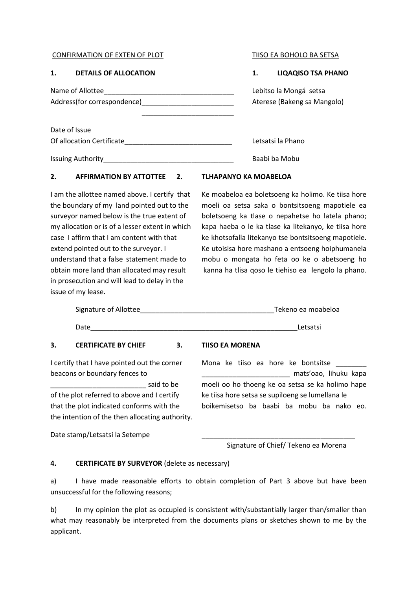### CONFIRMATION OF EXTEN OF PLOT TISO EA BOHOLO BA SETSA

## **1. DETAILS OF ALLOCATION 1. LIQAQISO TSA PHANO**

Date of Issue

Name of Allottee example a set of the set of Allottee and the set of the set of the set of the set of the set o Address(for correspondence) example and all and Aterese (Bakeng sa Mangolo)

 $\frac{1}{2}$  , and the set of the set of the set of the set of the set of the set of the set of the set of the set of the set of the set of the set of the set of the set of the set of the set of the set of the set of the set

Of allocation Certificate\_\_\_\_\_\_\_\_\_\_\_\_\_\_\_\_\_\_\_\_\_\_\_\_\_\_\_\_ Letsatsi la Phano

Issuing Authority\_\_\_\_\_\_\_\_\_\_\_\_\_\_\_\_\_\_\_\_\_\_\_\_\_\_\_\_\_\_\_\_\_\_ Baabi ba Mobu

# **2. AFFIRMATION BY ATTOTTEE 2. TLHAPANYO KA MOABELOA**

in prosecution and will lead to delay in the issue of my lease.

I am the allottee named above. I certify that Ke moabeloa ea boletsoeng ka holimo. Ke tiisa hore the boundary of my land pointed out to the moeli oa setsa saka o bontsitsoeng mapotiele ea surveyor named below is the true extent of boletsoeng ka tlase o nepahetse ho latela phano; my allocation or is of a lesser extent in which kapa haeba o le ka tlase ka litekanyo, ke tiisa hore case I affirm that I am content with that ke khotsofalla litekanyo tse bontsitsoeng mapotiele. extend pointed out to the surveyor. I Ke utoisisa hore mashano a entsoeng hoiphumanela understand that a false statement made to mobu o mongata ho feta oo ke o abetsoeng ho obtain more land than allocated may result kanna ha tlisa qoso le tiehiso ea lengolo la phano.

|    | Signature of Allottee       |    |                        | Tekeno ea moabeloa |
|----|-----------------------------|----|------------------------|--------------------|
|    | Date                        |    |                        | Letsatsi           |
| 3. | <b>CERTIFICATE BY CHIEF</b> | 3. | <b>TIISO EA MORENA</b> |                    |

I certify that I have pointed out the corner Mona ke tiiso ea hore ke bontsitse beacons or boundary fences to **which in the set of the set of the set of the set of the set of the set of the set of the set of the set of the set of the set of the set of the set of the set of the set of the set of the se** 

said to be moeli oo ho thoeng ke oa setsa se ka holimo hape of the plot referred to above and I certify ke tiisa hore setsa se supiloeng se lumellana le that the plot indicated conforms with the boikemisetso ba baabi ba mobu ba nako eo. the intention of the then allocating authority.

Date stamp/Letsatsi la Setempe

Signature of Chief/ Tekeno ea Morena

## **4. CERTIFICATE BY SURVEYOR** (delete as necessary)

a) I have made reasonable efforts to obtain completion of Part 3 above but have been unsuccessful for the following reasons;

b) In my opinion the plot as occupied is consistent with/substantially larger than/smaller than what may reasonably be interpreted from the documents plans or sketches shown to me by the applicant.